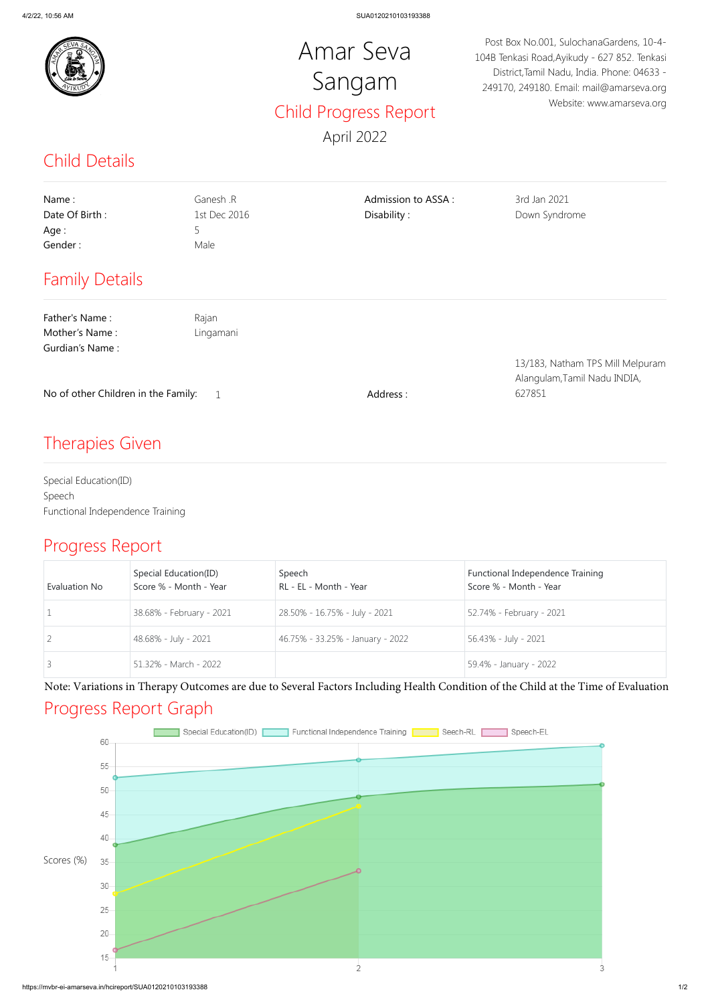

## Child Details

## Therapies Given

### Progress Report

## Progress Report Graph

Special Education(ID) Functional Independence Training | Seech-RL Speech-EL

60

# Amar Seva Sangam Child Progress Report April 2022

Post Box No.001, SulochanaGardens, 10-4- 104B Tenkasi Road,Ayikudy - 627 852. Tenkasi District,Tamil Nadu, India. Phone: 04633 - 249170, 249180. Email: mail@amarseva.org Website: www.amarseva.org

| Name:<br>Date Of Birth:<br>Age:<br>Gender:                 | Ganesh .R<br>1st Dec 2016<br>5<br>Male | Admission to ASSA:<br>Disability: | 3rd Jan 2021<br>Down Syndrome                                              |
|------------------------------------------------------------|----------------------------------------|-----------------------------------|----------------------------------------------------------------------------|
| <b>Family Details</b>                                      |                                        |                                   |                                                                            |
| Father's Name:<br>Mother's Name:<br><b>Gurdian's Name:</b> | Rajan<br>Lingamani                     |                                   |                                                                            |
| No of other Children in the Family:                        |                                        | Address:                          | 13/183, Natham TPS Mill Melpuram<br>Alangulam, Tamil Nadu INDIA,<br>627851 |

Special Education(ID) Speech Functional Independence Training

| Evaluation No | Special Education(ID)<br>Score % - Month - Year | Speech<br>RL - EL - Month - Year | Functional Independence Training<br>Score % - Month - Year |
|---------------|-------------------------------------------------|----------------------------------|------------------------------------------------------------|
|               | 38.68% - February - 2021                        | 28.50% - 16.75% - July - 2021    | 52.74% - February - 2021                                   |
|               | 48.68% - July - 2021                            | 46.75% - 33.25% - January - 2022 | 56.43% - July - 2021                                       |
|               | 51.32% - March - 2022                           |                                  | 59.4% - January - 2022                                     |



Note: Variations in Therapy Outcomes are due to Several Factors Including Health Condition of the Child at the Time of Evaluation